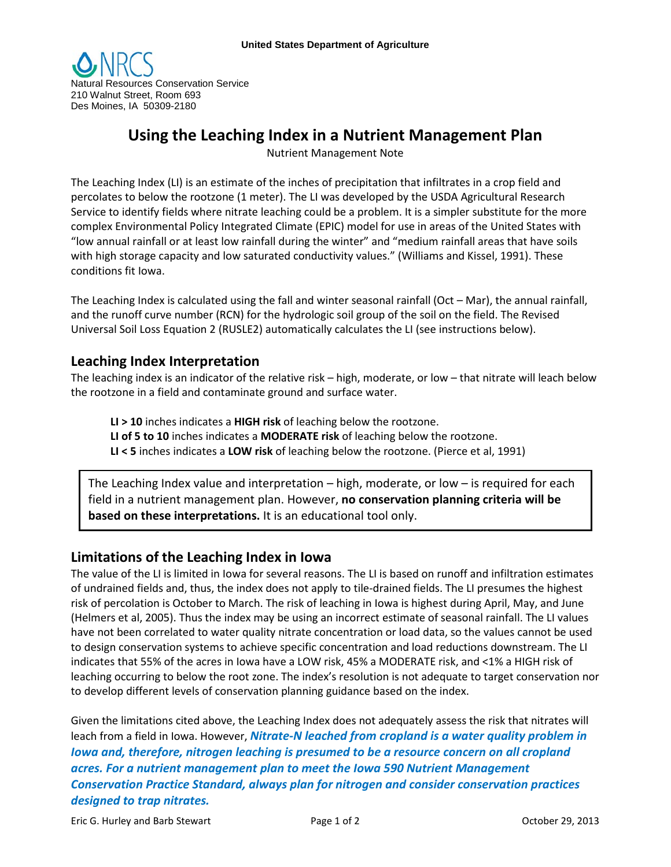

# **Using the Leaching Index in a Nutrient Management Plan**

Nutrient Management Note

The Leaching Index (LI) is an estimate of the inches of precipitation that infiltrates in a crop field and percolates to below the rootzone (1 meter). The LI was developed by the USDA Agricultural Research Service to identify fields where nitrate leaching could be a problem. It is a simpler substitute for the more complex Environmental Policy Integrated Climate (EPIC) model for use in areas of the United States with "low annual rainfall or at least low rainfall during the winter" and "medium rainfall areas that have soils with high storage capacity and low saturated conductivity values." (Williams and Kissel, 1991). These conditions fit Iowa.

The Leaching Index is calculated using the fall and winter seasonal rainfall (Oct – Mar), the annual rainfall, and the runoff curve number (RCN) for the hydrologic soil group of the soil on the field. The Revised Universal Soil Loss Equation 2 (RUSLE2) automatically calculates the LI (see instructions below).

## **Leaching Index Interpretation**

The leaching index is an indicator of the relative risk – high, moderate, or low – that nitrate will leach below the rootzone in a field and contaminate ground and surface water.

**LI > 10** inches indicates a **HIGH risk** of leaching below the rootzone.

**LI of 5 to 10** inches indicates a **MODERATE risk** of leaching below the rootzone.

**LI < 5** inches indicates a **LOW risk** of leaching below the rootzone. (Pierce et al, 1991)

The Leaching Index value and interpretation – high, moderate, or low – is required for each field in a nutrient management plan. However, **no conservation planning criteria will be based on these interpretations.** It is an educational tool only.

### **Limitations of the Leaching Index in Iowa**

The value of the LI is limited in Iowa for several reasons. The LI is based on runoff and infiltration estimates of undrained fields and, thus, the index does not apply to tile-drained fields. The LI presumes the highest risk of percolation is October to March. The risk of leaching in Iowa is highest during April, May, and June (Helmers et al, 2005). Thus the index may be using an incorrect estimate of seasonal rainfall. The LI values have not been correlated to water quality nitrate concentration or load data, so the values cannot be used to design conservation systems to achieve specific concentration and load reductions downstream. The LI indicates that 55% of the acres in Iowa have a LOW risk, 45% a MODERATE risk, and <1% a HIGH risk of leaching occurring to below the root zone. The index's resolution is not adequate to target conservation nor to develop different levels of conservation planning guidance based on the index.

Given the limitations cited above, the Leaching Index does not adequately assess the risk that nitrates will leach from a field in Iowa. However, *Nitrate-N leached from cropland is a water quality problem in Iowa and, therefore, nitrogen leaching is presumed to be a resource concern on all cropland acres. For a nutrient management plan to meet the Iowa 590 Nutrient Management Conservation Practice Standard, always plan for nitrogen and consider conservation practices designed to trap nitrates.*